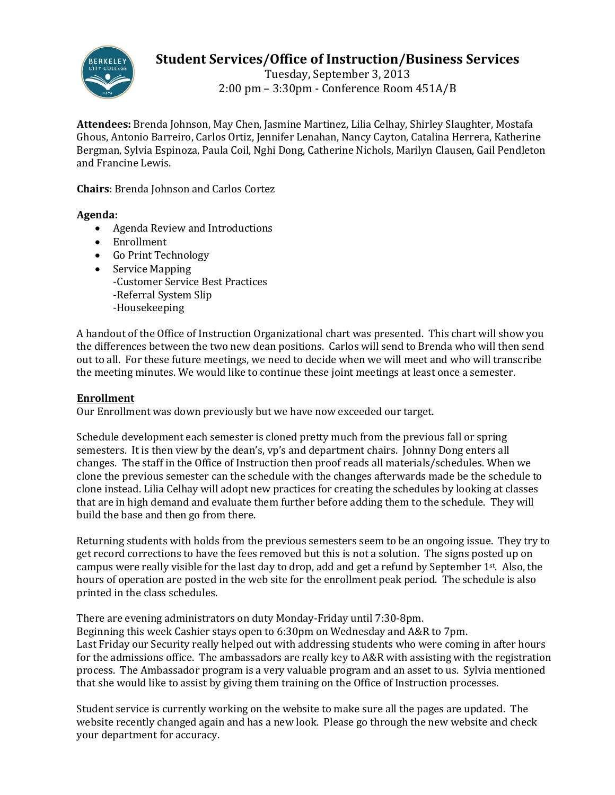

# **Student Services/Office of Instruction/Business Services**

Tuesday, September 3, 2013 2:00 pm – 3:30pm - Conference Room 451A/B

**Attendees:** Brenda Johnson, May Chen, Jasmine Martinez, Lilia Celhay, Shirley Slaughter, Mostafa Ghous, Antonio Barreiro, Carlos Ortiz, Jennifer Lenahan, Nancy Cayton, Catalina Herrera, Katherine Bergman, Sylvia Espinoza, Paula Coil, Nghi Dong, Catherine Nichols, Marilyn Clausen, Gail Pendleton and Francine Lewis.

**Chairs**: Brenda Johnson and Carlos Cortez

### **Agenda:**

- Agenda Review and Introductions
- Enrollment
- Go Print Technology
- Service Mapping -Customer Service Best Practices -Referral System Slip -Housekeeping

A handout of the Office of Instruction Organizational chart was presented. This chart will show you the differences between the two new dean positions. Carlos will send to Brenda who will then send out to all. For these future meetings, we need to decide when we will meet and who will transcribe the meeting minutes. We would like to continue these joint meetings at least once a semester.

## **Enrollment**

Our Enrollment was down previously but we have now exceeded our target.

Schedule development each semester is cloned pretty much from the previous fall or spring semesters. It is then view by the dean's, vp's and department chairs. Johnny Dong enters all changes. The staff in the Office of Instruction then proof reads all materials/schedules. When we clone the previous semester can the schedule with the changes afterwards made be the schedule to clone instead. Lilia Celhay will adopt new practices for creating the schedules by looking at classes that are in high demand and evaluate them further before adding them to the schedule. They will build the base and then go from there.

Returning students with holds from the previous semesters seem to be an ongoing issue. They try to get record corrections to have the fees removed but this is not a solution. The signs posted up on campus were really visible for the last day to drop, add and get a refund by September 1st. Also, the hours of operation are posted in the web site for the enrollment peak period. The schedule is also printed in the class schedules.

There are evening administrators on duty Monday-Friday until 7:30-8pm. Beginning this week Cashier stays open to 6:30pm on Wednesday and A&R to 7pm. Last Friday our Security really helped out with addressing students who were coming in after hours for the admissions office. The ambassadors are really key to A&R with assisting with the registration process. The Ambassador program is a very valuable program and an asset to us. Sylvia mentioned that she would like to assist by giving them training on the Office of Instruction processes.

Student service is currently working on the website to make sure all the pages are updated. The website recently changed again and has a new look. Please go through the new website and check your department for accuracy.